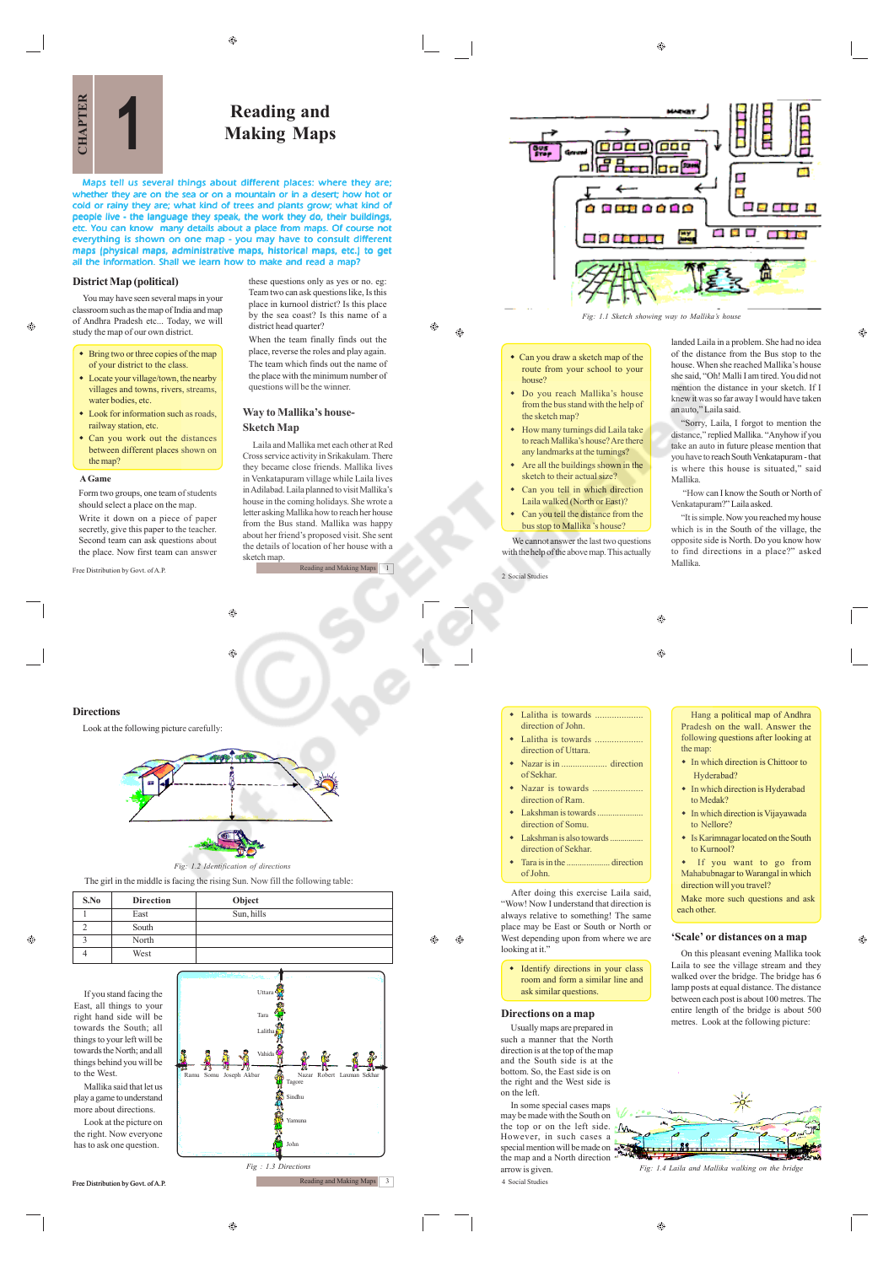$\bigoplus$ 

 $\bigoplus$ 

*Fig: 1.1 Sketch showing way to Mallika's house*



**Reading and 1 Making Maps**

*Maps tell us several things about different places: where they are;* whether they are on the sea or on a mountain or in a desert; how hot or<br>cold or rainy they are; what kind of trees and plants grow; what kind of<br>people live - the language they speak, the work they do, their buildings, etc. You can know many details about a place from maps. Of course not<br>everything is shown on one map - you may have to consult different<br>maps (physical maps, administrative maps, historical maps, etc.) to get<br>all the infor

### **District Map (political)**

You may have seen several maps in your classroom such as the map of India and map of Andhra Pradesh etc... Today, we will study the map of our own district.

- Bring two or three copies of the map of your district to the class.
- Locate your village/town, the nearby villages and towns, rivers, streams water bodies, etc.
- Look for information such as roads, railway station, etc.
- Can you work out the distances between different places shown on the map?

### **A Game**

æ

Form two groups, one team of students should select a place on the map. Write it down on a piece of paper secretly, give this paper to the teacher. Second team can ask questions about the place. Now first team can answer

Free Distribution by Govt. of A.P.

these questions only as yes or no. eg: Team two can ask questions like, Is this place in kurnool district? Is this place by the sea coast? Is this name of a district head quarter? When the team finally finds out the place, reverse the roles and play again. The team which finds out the name of

the place with the minimum number of questions will be the winner. **Way to Mallika's house-**

# **Sketch Map**

Laila and Mallika met each other at Red Cross service activity in Srikakulam. There they became close friends. Mallika lives in Venkatapuram village while Laila lives in Adilabad. Laila planned to visit Mallika's house in the coming holidays. She wrote a letter asking Mallika how to reach her house from the Bus stand. Mallika was happy about her friend's proposed visit. She sent the details of location of her house with a sketch map.

ading and Making Maps 1



Look at the following picture carefully:



 $\qquad \qquad \textcircled{\scriptsize{9}}$ 

Ġ

The girl in the middle is facing the rising Sun. Now fill the following table:

**S.No Direction Object** 1 East Sun, hills

If you stand facing the East, all things to your right hand side will be towards the South; all things to your left will be towards the North; and all things behind you will be to the West. Mallika said that let us

2 South 3 North 4 West

play a game to understand party a game to directions. Look at the picture on the right. Now everyone has to ask one question.



Free Distribution by Govt. of A.P.

 Can you draw a sketch map of the route from your school to your

- house? Do you reach Mallika's house from the bus stand with the help of the sketch map?
- How many turnings did Laila take to reach Mallika's house? Are there any landmarks at the turnings?
- $\triangle$  Are all the buildings shown in the sketch to their actual size?
- Can you tell in which direction Laila walked (North or East)?
- Can you tell the distance from the bus stop to Mallika 's house?

We cannot answer the last two questions with the help of the above map. This actually

2 Social Studies

landed Laila in a problem. She had no idea of the distance from the Bus stop to the house. When she reached Mallika's house she said, "Oh! Malli I am tired. You did not mention the distance in your sketch. If I knew it was so far away I would have taken an auto," Laila said.

d

Ξ

a a a

**BE AVE A** 

■ 15 番 (4)

Ł

 $\frac{1}{2}$ 

**B. A. BOOSTO** 

"Sorry, Laila, I forgot to mention the distance," replied Mallika. "Anyhow if you take an auto in future please mention that you have to reach South Venkatapuram - that is where this house is situated," said Mallika.

 "How can I know the South or North of Venkatapuram?" Laila asked.

"It is simple. Now you reached my house which is in the South of the village, the opposite side is North. Do you know how to find directions in a place?" asked Mallika.

Hang a political map of Andhra Pradesh on the wall. Answer the following questions after looking at

• In which direction is Chittoor to

• In which direction is Hyderabad

In which direction is Vijayawada

Is Karimnagar located on the South

**'Scale' or distances on a map** On this pleasant evening Mallika took Laila to see the village stream and they walked over the bridge. The bridge has 6 lamp posts at equal distance. The distance between each post is about 100 metres. The entire length of the bridge is about 500 metres. Look at the following picture:

◈

 If you want to go from Mahabubnagar to Warangal in which direction will you travel? Make more such questions and ask

 $\circledcirc$ 

ക

the map:

Hyderabad?

to Medak?

to Nellore?

to Kurnool?

each other.

- direction of John.
- Lalitha is towards
- direction of Uttara. Nazar is in .................... direction
- of Sekhar. Nazar is towards
- direction of Ram.
- Lakshman is towards direction of Somu.
- $\bullet$  Lakshman is also towards direction of Sekhar.
- Tara is in the .................... direction of John.

After doing this exercise Laila said, "Wow! Now I understand that direction is always relative to something! The same place may be East or South or North or West depending upon from where we are looking at it.

• Identify directions in your class room and form a similar line and ask similar questions.

### **Directions on a map**

Usually maps are prepared in such a manner that the North direction is at the top of the map and the South side is at the bottom. So, the East side is on the right and the West side is on the left.

In some special cases maps may be made with the South on the top or on the left side. However, in such cases a special mention will be made on the map and a North direction arrow is given.

4 Social Studies

*Fig: 1.4 Laila and Mallika walking on the bridge*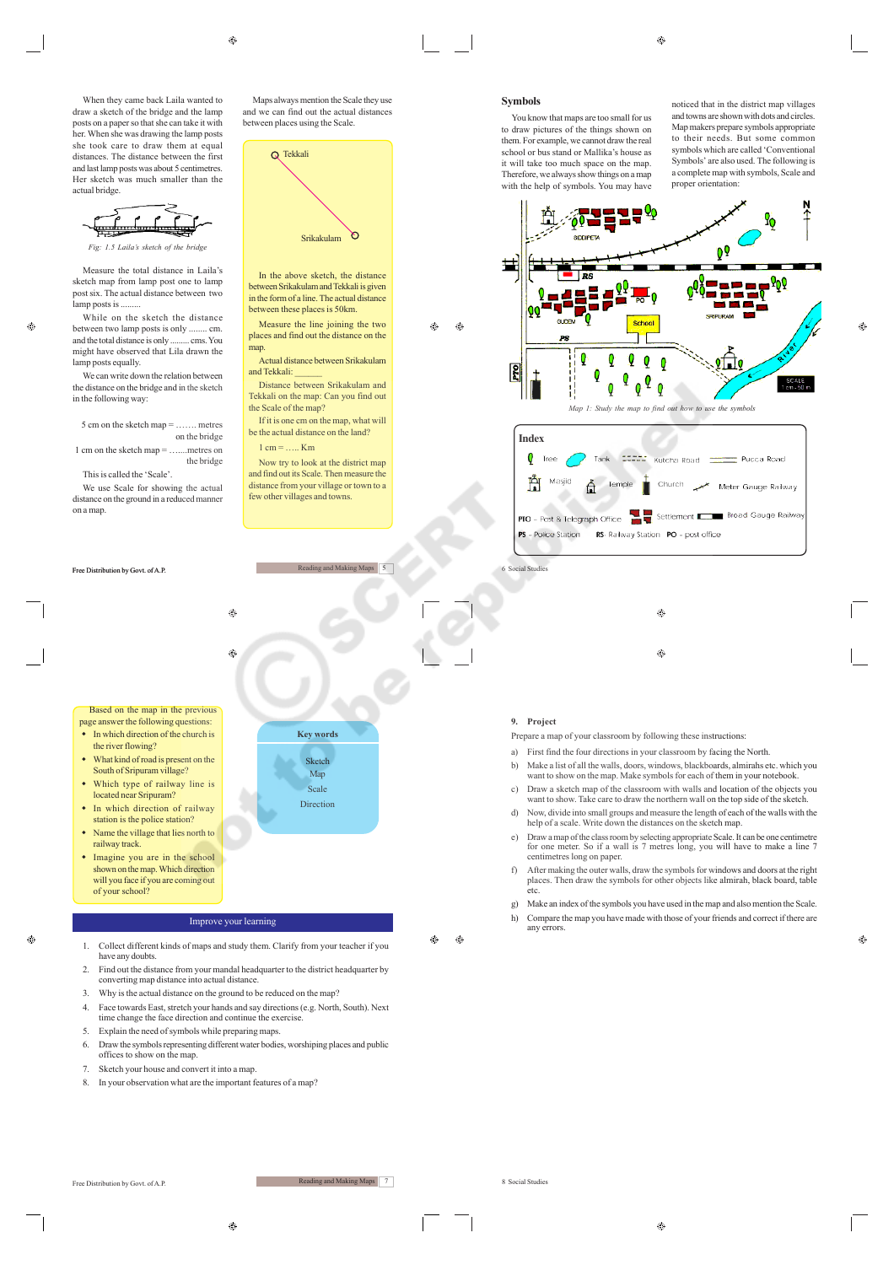

*Fig: 1.5 Laila's sketch of the brid* 

Measure the total distance in Laila's sketch map from lamp post one to lamp post six. The actual distance between two lamp posts is .........

æ

While on the sketch the distance between two lamp posts is only ........ cm.<br>and the total distance is only cms. You and the total distance is only ... might have observed that Lila drawn the lamp posts equally.

We can write down the relation between the distance on the bridge and in the sketch in the following way:

5 cm on the sketch map = ……. metres on the bridge

 $1 \text{ cm}$  on the sketch map  $=$  metres on the bridge

This is called the 'Scale'.

Free Distribution by Govt. of A.P.

We use Scale for showing the actual distance on the ground in a reduced manner on a map.

Maps always mention the Scale they use and we can find out the actual distances between places using the Scale.



In the above sketch, the distance between Srikakulam and Tekkali is given in the form of a line. The actual distance between these places is 50km.

Measure the line joining the two places and find out the distance on the map. Actual distance between Srikakulam

and Tekkali: Distance between Srikakulam and

Tekkali on the map: Can you find out the Scale of the map? If it is one cm on the map, what will be the actual distance on the land?

 $1 \text{ cm} =$  ….. Km

Now try to look at the district map and find out its Scale. Then measure the distance from your village or town to a few other villages and towns.

**Key words** Sketch Map Scale Direction



- the river flowing? What kind of road is present on the
- South of Sripuram village? Which type of railway line is
- located near Sripuram? • In which direction of railway
- station is the police station? • Name the village that lies north to railway track.
- $\bullet$  Imagine you are in the school shown on the map. Which direction will you face if you are coming out of your school?

converting map distance into actual distance.

have any doubts.

 $\odot$ 

# Improve your learning

⊕

Ġ

3. Why is the actual distance on the ground to be reduced on the map? 4. Face towards East, stretch your hands and say directions (e.g. North, South). Next

time change the face direction and continue the exercise. 5. Explain the need of symbols while preparing maps.

8. In your observation what are the important features of a map?

1. Collect different kinds of maps and study them. Clarify from your teacher if you

2. Find out the distance from your mandal headquarter to the district headquarter by

6. Draw the symbols representing different water bodies, worshiping places and public

۵

Æ۵

Free Distribution by Govt. of A.P.

offices to show on the map. 7. Sketch your house and convert it into a map.

Reading and Making Maps 7

You know that maps are too small for us to draw pictures of the things shown on them. For example, we cannot draw the real school or bus stand or Mallika's house as it will take too much space on the map. Therefore, we always show things on a map with the help of symbols. You may have

noticed that in the district map villages and towns are shown with dots and circles. Map makers prepare symbols appropriate to their needs. But some common symbols which are called 'Conventional Symbols' are also used. The following is a complete map with symbols, Scale and proper orientation:





**Social Studies** 

 $\bigcirc$ ⊕

## **9. Project**

Prepare a map of your classroom by following these instructions:

- a) First find the four directions in your classroom by facing the North.
- b) Make a list of all the walls, doors, windows, blackboards, almirahs etc. which you want to show on the map. Make symbols for each of them in your notebook.
- c) Draw a sketch map of the classroom with walls and location of the objects you want to show. Take care to draw the northern wall on the top side of the sketch.
- d) Now, divide into small groups and measure the length of each of the walls with the help of a scale. Write down the distances on the sketch map.
- e) Draw a map of the class room by selecting appropriate Scale. It can be one centimetre for one meter. So if a wall is 7 metres long, you will have to make a line 7 centimetres long on paper.
- f) After making the outer walls, draw the symbols for windows and doors at the right places. Then draw the symbols for other objects like almirah, black board, table etc.
- g) Make an index of the symbols you have used in the map and also mention the Scale.
- h) Compare the map you have made with those of your friends and correct if there are any errors.

♠

Ø.

 $\circledcirc$ 

 $\bigoplus$